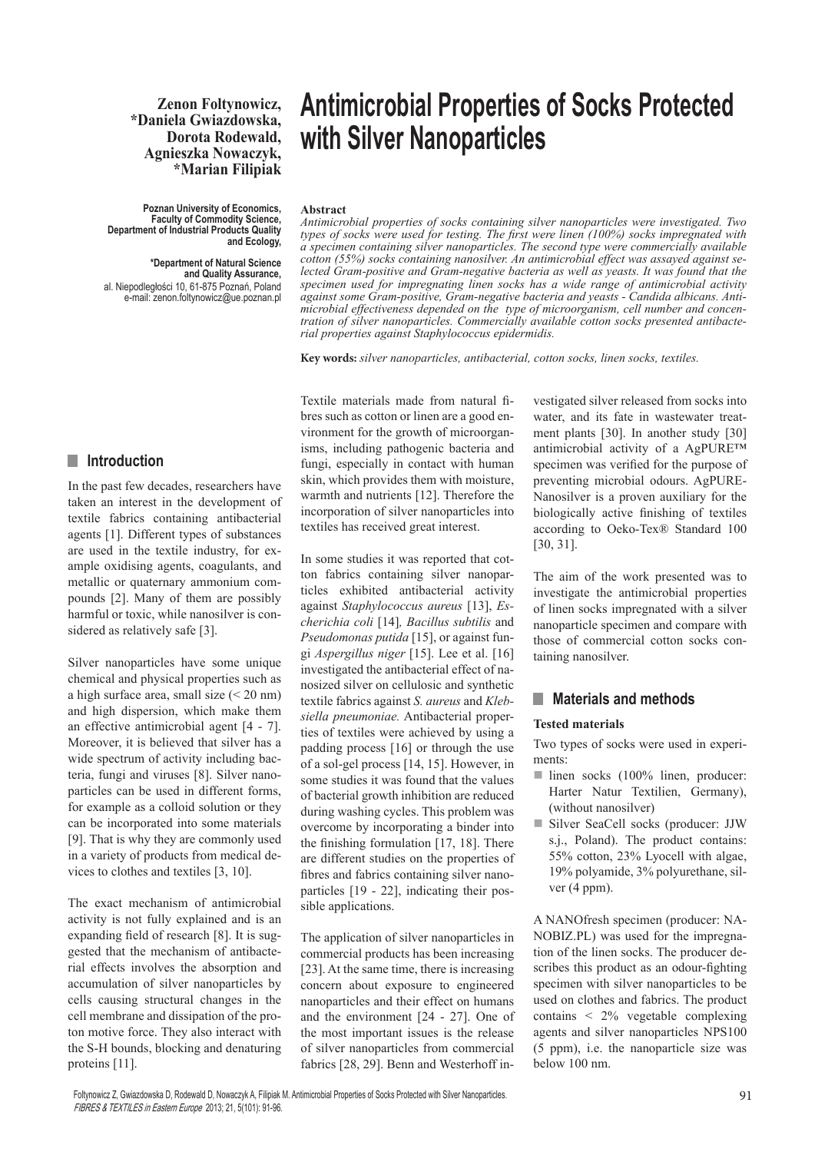#### **Zenon Foltynowicz, \*Daniela Gwiazdowska, Dorota Rodewald, Agnieszka Nowaczyk, \*Marian Filipiak**

**Poznan University of Economics, Faculty of Commodity Science, Department of Industrial Products Quality and Ecology,** 

**\*Department of Natural Science and Quality Assurance,**  al. Niepodległości 10, 61-875 Poznań, Poland e-mail: zenon.foltynowicz@ue.poznan.pl

# **Antimicrobial Properties of Socks Protected with Silver Nanoparticles**

#### **Abstract**

*Antimicrobial properties of socks containing silver nanoparticles were investigated. Two types of socks were used for testing. The first were linen (100%) socks impregnated with a specimen containing silver nanoparticles. The second type were commercially available cotton (55%) socks containing nanosilver. An antimicrobial effect was assayed against selected Gram-positive and Gram-negative bacteria as well as yeasts. It was found that the specimen used for impregnating linen socks has a wide range of antimicrobial activity against some Gram-positive, Gram-negative bacteria and yeasts - Candida albicans. Antimicrobial effectiveness depended on the type of microorganism, cell number and concentration of silver nanoparticles. Commercially available cotton socks presented antibacterial properties against Staphylococcus epidermidis.*

**Key words:** *silver nanoparticles, antibacterial, cotton socks, linen socks, textiles.*

Textile materials made from natural fibres such as cotton or linen are a good environment for the growth of microorganisms, including pathogenic bacteria and fungi, especially in contact with human skin, which provides them with moisture, warmth and nutrients [12]. Therefore the incorporation of silver nanoparticles into textiles has received great interest.

In some studies it was reported that cotton fabrics containing silver nanoparticles exhibited antibacterial activity against *Staphylococcus aureus* [13], *Escherichia coli* [14]*, Bacillus subtilis* and *Pseudomonas putida* [15], or against fungi *Aspergillus niger* [15]. Lee et al. [16] investigated the antibacterial effect of nanosized silver on cellulosic and synthetic textile fabrics against *S. aureus* and *Klebsiella pneumoniae.* Antibacterial properties of textiles were achieved by using a padding process [16] or through the use of a sol-gel process [14, 15]. However, in some studies it was found that the values of bacterial growth inhibition are reduced during washing cycles. This problem was overcome by incorporating a binder into the finishing formulation [17, 18]. There are different studies on the properties of fibres and fabrics containing silver nanoparticles [19 - 22], indicating their possible applications.

The application of silver nanoparticles in commercial products has been increasing [23]. At the same time, there is increasing concern about exposure to engineered nanoparticles and their effect on humans and the environment [24 - 27]. One of the most important issues is the release of silver nanoparticles from commercial fabrics [28, 29]. Benn and Westerhoff investigated silver released from socks into water, and its fate in wastewater treatment plants [30]. In another study [30] antimicrobial activity of a AgPURE™ specimen was verified for the purpose of preventing microbial odours. AgPURE-Nanosilver is a proven auxiliary for the biologically active finishing of textiles according to Oeko-Tex® Standard 100 [30, 31].

The aim of the work presented was to investigate the antimicrobial properties of linen socks impregnated with a silver nanoparticle specimen and compare with those of commercial cotton socks containing nanosilver.

#### **Naterials and methods**

#### **Tested materials**

Two types of socks were used in experiments:

- $\blacksquare$  linen socks (100% linen, producer: Harter Natur Textilien, Germany), (without nanosilver)
- Silver SeaCell socks (producer: JJW s.j., Poland). The product contains: 55% cotton, 23% Lyocell with algae, 19% polyamide, 3% polyurethane, silver (4 ppm).

A NANOfresh specimen (producer: NA-NOBIZ.PL) was used for the impregnation of the linen socks. The producer describes this product as an odour-fighting specimen with silver nanoparticles to be used on clothes and fabrics. The product contains < 2% vegetable complexing agents and silver nanoparticles NPS100 (5 ppm), i.e. the nanoparticle size was below 100 nm.

#### **n** Introduction

In the past few decades, researchers have taken an interest in the development of textile fabrics containing antibacterial agents [1]. Different types of substances are used in the textile industry, for example oxidising agents, coagulants, and metallic or quaternary ammonium compounds [2]. Many of them are possibly harmful or toxic, while nanosilver is considered as relatively safe [3].

Silver nanoparticles have some unique chemical and physical properties such as a high surface area, small size (< 20 nm) and high dispersion, which make them an effective antimicrobial agent [4 - 7]. Moreover, it is believed that silver has a wide spectrum of activity including bacteria, fungi and viruses [8]. Silver nanoparticles can be used in different forms, for example as a colloid solution or they can be incorporated into some materials [9]. That is why they are commonly used in a variety of products from medical devices to clothes and textiles [3, 10].

The exact mechanism of antimicrobial activity is not fully explained and is an expanding field of research [8]. It is suggested that the mechanism of antibacterial effects involves the absorption and accumulation of silver nanoparticles by cells causing structural changes in the cell membrane and dissipation of the proton motive force. They also interact with the S-H bounds, blocking and denaturing proteins [11].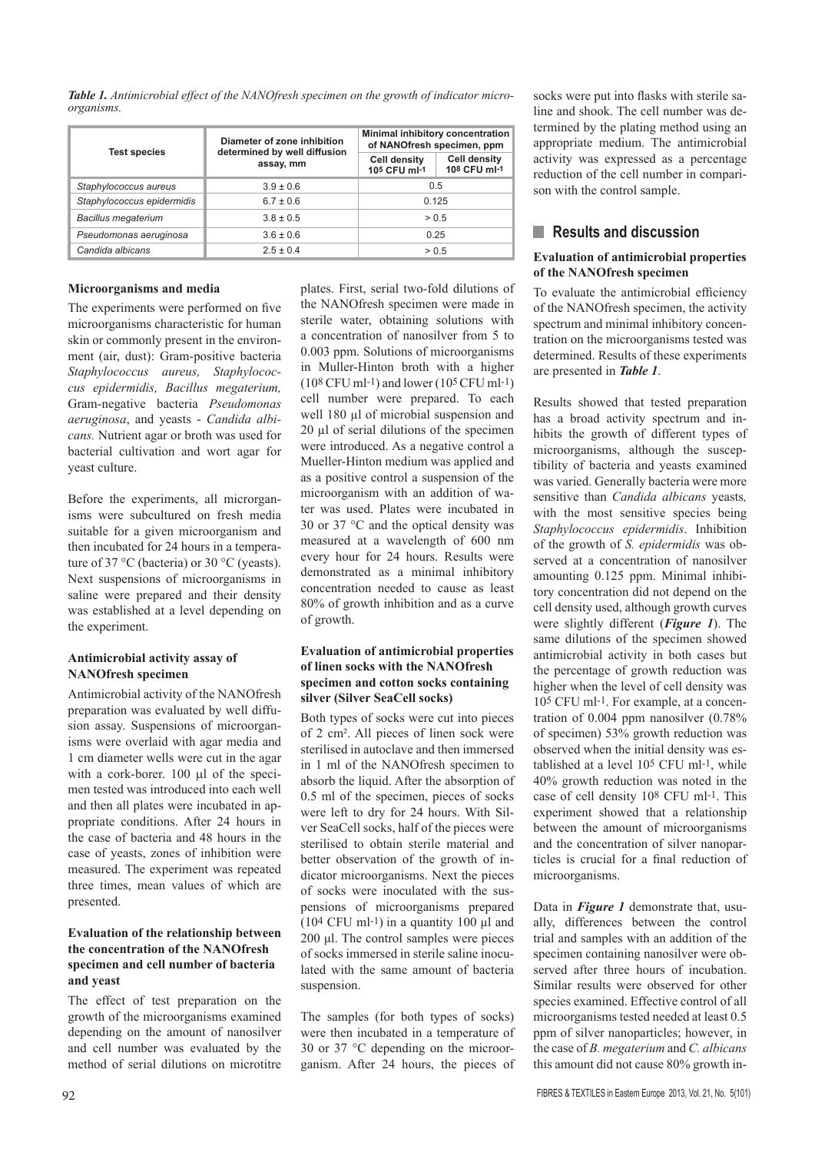*Table 1. Antimicrobial effect of the NANOfresh specimen on the growth of indicator microorganisms.*

|                            | Diameter of zone inhibition<br>determined by well diffusion<br>assay, mm | Minimal inhibitory concentration<br>of NANOfresh specimen, ppm |                                     |
|----------------------------|--------------------------------------------------------------------------|----------------------------------------------------------------|-------------------------------------|
| <b>Test species</b>        |                                                                          | <b>Cell density</b><br>105 CFU ml-1                            | <b>Cell density</b><br>108 CFU ml-1 |
| Staphylococcus aureus      | $3.9 \pm 0.6$                                                            | 0.5                                                            |                                     |
| Staphylococcus epidermidis | $6.7 \pm 0.6$                                                            | 0.125                                                          |                                     |
| <b>Bacillus megaterium</b> | $3.8 \pm 0.5$                                                            | > 0.5                                                          |                                     |
| Pseudomonas aeruginosa     | $3.6 \pm 0.6$                                                            | 0.25                                                           |                                     |
| Candida albicans           | $2.5 \pm 0.4$                                                            | > 0.5                                                          |                                     |

#### **Microorganisms and media**

The experiments were performed on five microorganisms characteristic for human skin or commonly present in the environment (air, dust): Gram-positive bacteria *Staphylococcus aureus, Staphylococcus epidermidis, Bacillus megaterium,*  Gram-negative bacteria *Pseudomonas aeruginosa*, and yeasts - *Candida albicans.* Nutrient agar or broth was used for bacterial cultivation and wort agar for yeast culture.

Before the experiments, all microrganisms were subcultured on fresh media suitable for a given microorganism and then incubated for 24 hours in a temperature of 37 °C (bacteria) or 30 °C (yeasts). Next suspensions of microorganisms in saline were prepared and their density was established at a level depending on the experiment.

#### **Antimicrobial activity assay of NANOfresh specimen**

Antimicrobial activity of the NANOfresh preparation was evaluated by well diffusion assay. Suspensions of microorganisms were overlaid with agar media and 1 cm diameter wells were cut in the agar with a cork-borer. 100 µl of the specimen tested was introduced into each well and then all plates were incubated in appropriate conditions. After 24 hours in the case of bacteria and 48 hours in the case of yeasts, zones of inhibition were measured. The experiment was repeated three times, mean values of which are presented.

#### **Evaluation of the relationship between the concentration of the NANOfresh specimen and cell number of bacteria and yeast**

The effect of test preparation on the growth of the microorganisms examined depending on the amount of nanosilver and cell number was evaluated by the method of serial dilutions on microtitre

plates. First, serial two-fold dilutions of the NANOfresh specimen were made in sterile water, obtaining solutions with a concentration of nanosilver from 5 to 0.003 ppm. Solutions of microorganisms in Muller-Hinton broth with a higher  $(10^8 \text{ CFU ml-1})$  and lower  $(10^5 \text{ CFU ml-1})$ cell number were prepared. To each well 180 ul of microbial suspension and 20 µl of serial dilutions of the specimen were introduced. As a negative control a Mueller-Hinton medium was applied and as a positive control a suspension of the microorganism with an addition of water was used. Plates were incubated in 30 or 37 °C and the optical density was measured at a wavelength of 600 nm every hour for 24 hours. Results were demonstrated as a minimal inhibitory concentration needed to cause as least 80% of growth inhibition and as a curve of growth.

#### **Evaluation of antimicrobial properties of linen socks with the NANOfresh specimen and cotton socks containing silver (Silver SeaCell socks)**

Both types of socks were cut into pieces of 2 cm². All pieces of linen sock were sterilised in autoclave and then immersed in 1 ml of the NANOfresh specimen to absorb the liquid. After the absorption of 0.5 ml of the specimen, pieces of socks were left to dry for 24 hours. With Silver SeaCell socks, half of the pieces were sterilised to obtain sterile material and better observation of the growth of indicator microorganisms. Next the pieces of socks were inoculated with the suspensions of microorganisms prepared  $(10<sup>4</sup> CFU ml<sup>-1</sup>)$  in a quantity 100 μl and 200 μl. The control samples were pieces of socks immersed in sterile saline inoculated with the same amount of bacteria suspension.

The samples (for both types of socks) were then incubated in a temperature of 30 or 37 °C depending on the microorganism. After 24 hours, the pieces of socks were put into flasks with sterile saline and shook. The cell number was determined by the plating method using an appropriate medium. The antimicrobial activity was expressed as a percentage reduction of the cell number in comparison with the control sample.

#### **N** Results and discussion

#### **Evaluation of antimicrobial properties of the NANOfresh specimen**

To evaluate the antimicrobial efficiency of the NANOfresh specimen, the activity spectrum and minimal inhibitory concentration on the microorganisms tested was determined. Results of these experiments are presented in *Table 1*.

Results showed that tested preparation has a broad activity spectrum and inhibits the growth of different types of microorganisms, although the susceptibility of bacteria and yeasts examined was varied. Generally bacteria were more sensitive than *Candida albicans* yeasts*,* with the most sensitive species being *Staphylococcus epidermidis*. Inhibition of the growth of *S. epidermidis* was observed at a concentration of nanosilver amounting 0.125 ppm. Minimal inhibitory concentration did not depend on the cell density used, although growth curves were slightly different (*Figure 1*). The same dilutions of the specimen showed antimicrobial activity in both cases but the percentage of growth reduction was higher when the level of cell density was 105 CFU ml-1. For example, at a concentration of 0.004 ppm nanosilver (0.78% of specimen) 53% growth reduction was observed when the initial density was established at a level 105 CFU ml-1, while 40% growth reduction was noted in the case of cell density 108 CFU ml-1. This experiment showed that a relationship between the amount of microorganisms and the concentration of silver nanoparticles is crucial for a final reduction of microorganisms.

Data in *Figure 1* demonstrate that, usually, differences between the control trial and samples with an addition of the specimen containing nanosilver were observed after three hours of incubation. Similar results were observed for other species examined. Effective control of all microorganisms tested needed at least 0.5 ppm of silver nanoparticles; however, in the case of *B. megaterium* and *C. albicans* this amount did not cause 80% growth in-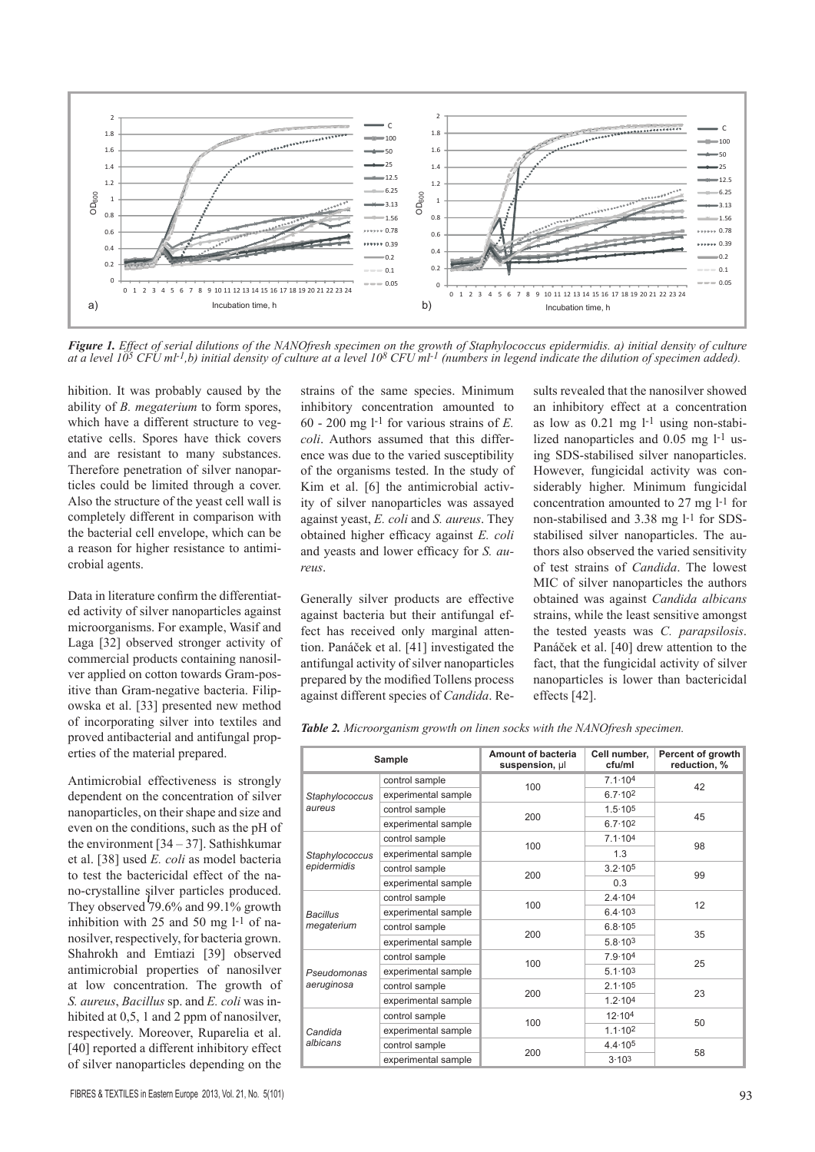

*Figure 1. Effect of serial dilutions of the NANOfresh specimen on the growth of Staphylococcus epidermidis. a) initial density of culture at a level 105 CFU ml-1,b) initial density of culture at a level 108 CFU ml-1 (numbers in legend indicate the dilution of specimen added).*

hibition. It was probably caused by the ability of *B. megaterium* to form spores, which have a different structure to vegetative cells. Spores have thick covers and are resistant to many substances. Therefore penetration of silver nanoparticles could be limited through a cover. Also the structure of the yeast cell wall is completely different in comparison with the bacterial cell envelope, which can be a reason for higher resistance to antimicrobial agents.

Data in literature confirm the differentiated activity of silver nanoparticles against microorganisms. For example, Wasif and Laga [32] observed stronger activity of commercial products containing nanosilver applied on cotton towards Gram-positive than Gram-negative bacteria. Filipowska et al. [33] presented new method of incorporating silver into textiles and proved antibacterial and antifungal properties of the material prepared.

Antimicrobial effectiveness is strongly dependent on the concentration of silver nanoparticles, on their shape and size and even on the conditions, such as the pH of the environment  $[34 - 37]$ . Sathishkumar et al. [38] used *E. coli* as model bacteria to test the bactericidal effect of the nano-crystalline silver particles produced. They observed 79.6% and 99.1% growth inhibition with 25 and 50 mg l-1 of nanosilver, respectively, for bacteria grown. Shahrokh and Emtiazi [39] observed antimicrobial properties of nanosilver at low concentration. The growth of *S. aureus*, *Bacillus* sp. and *E. coli* was inhibited at 0,5, 1 and 2 ppm of nanosilver, respectively. Moreover, Ruparelia et al. [40] reported a different inhibitory effect of silver nanoparticles depending on the

strains of the same species. Minimum inhibitory concentration amounted to 60 - 200 mg l-1 for various strains of *E. coli*. Authors assumed that this difference was due to the varied susceptibility of the organisms tested. In the study of Kim et al. [6] the antimicrobial activity of silver nanoparticles was assayed against yeast, *E. coli* and *S. aureus*. They obtained higher efficacy against *E. coli* and yeasts and lower efficacy for *S. aureus*.

Generally silver products are effective against bacteria but their antifungal effect has received only marginal attention. Panáček et al. [41] investigated the antifungal activity of silver nanoparticles prepared by the modified Tollens process against different species of *Candida*. Results revealed that the nanosilver showed an inhibitory effect at a concentration as low as 0.21 mg l-1 using non-stabilized nanoparticles and 0.05 mg l-1 using SDS-stabilised silver nanoparticles. However, fungicidal activity was considerably higher. Minimum fungicidal concentration amounted to 27 mg l-1 for non-stabilised and 3.38 mg l-1 for SDSstabilised silver nanoparticles. The authors also observed the varied sensitivity of test strains of *Candida*. The lowest MIC of silver nanoparticles the authors obtained was against *Candida albicans* strains, while the least sensitive amongst the tested yeasts was *C. parapsilosis*. Panáček et al. [40] drew attention to the fact, that the fungicidal activity of silver nanoparticles is lower than bactericidal effects [42].

*Table 2. Microorganism growth on linen socks with the NANOfresh specimen.*

| Sample                        |                     | <b>Amount of bacteria</b><br>suspension, µl | Cell number.<br>cfu/ml | Percent of growth<br>reduction, % |
|-------------------------------|---------------------|---------------------------------------------|------------------------|-----------------------------------|
| Staphylococcus<br>aureus      | control sample      |                                             | $7.1 \cdot 10^{4}$     | 42                                |
|                               | experimental sample | 100                                         | $6.7 \cdot 10^{2}$     |                                   |
|                               | control sample      | 200                                         | $1.5 \cdot 10^5$       | 45                                |
|                               | experimental sample |                                             | $6.7 \cdot 10^{2}$     |                                   |
| Staphylococcus<br>epidermidis | control sample      | 100                                         | $7.1 \cdot 104$        | 98                                |
|                               | experimental sample |                                             | 1.3                    |                                   |
|                               | control sample      | 200                                         | $3.2 \cdot 10^5$       | 99                                |
|                               | experimental sample |                                             | 0.3                    |                                   |
| Bacillus<br>megaterium        | control sample      |                                             | $2.4 \cdot 104$        | 12                                |
|                               | experimental sample | 100                                         | $6.4 \cdot 10^{3}$     |                                   |
|                               | control sample      | 200                                         | $6.8 \cdot 10^{5}$     | 35                                |
|                               | experimental sample |                                             | $5.8 \cdot 10^{3}$     |                                   |
| Pseudomonas<br>aeruginosa     | control sample      |                                             | 7.9.104                | 25                                |
|                               | experimental sample | 100                                         | $5.1 \cdot 10^{3}$     |                                   |
|                               | control sample      | 200                                         | $2.1 \cdot 10^{5}$     | 23                                |
|                               | experimental sample |                                             | $1.2 \cdot 104$        |                                   |
| Candida<br>albicans           | control sample      | 100                                         | 12.104                 | 50                                |
|                               | experimental sample |                                             | $1.1 \cdot 10^{2}$     |                                   |
|                               | control sample      |                                             | 4.4.105                | 58                                |
|                               | experimental sample | 200                                         | 3.103                  |                                   |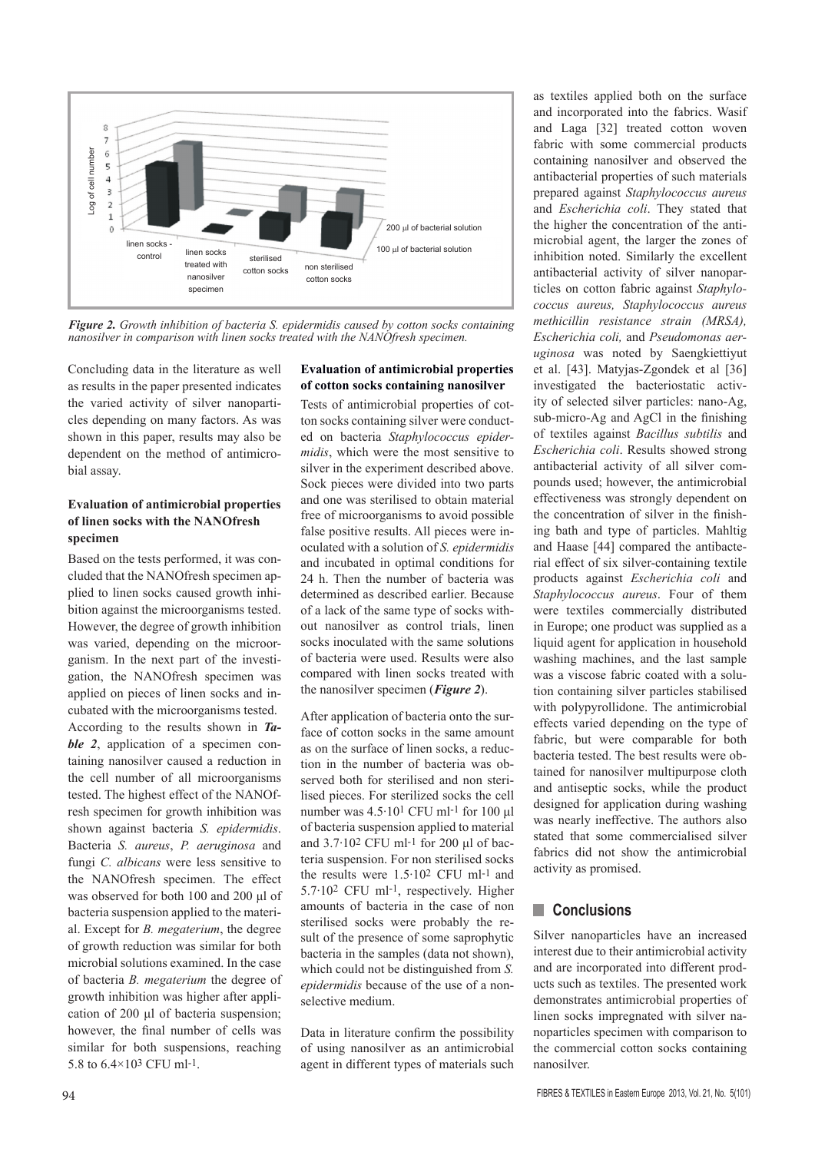

*Figure 2. Growth inhibition of bacteria S. epidermidis caused by cotton socks containing nanosilver in comparison with linen socks treated with the NANOfresh specimen.*

Concluding data in the literature as well as results in the paper presented indicates the varied activity of silver nanoparticles depending on many factors. As was shown in this paper, results may also be dependent on the method of antimicrobial assay.

#### **Evaluation of antimicrobial properties of linen socks with the NANOfresh specimen**

Based on the tests performed, it was concluded that the NANOfresh specimen applied to linen socks caused growth inhibition against the microorganisms tested. However, the degree of growth inhibition was varied, depending on the microorganism. In the next part of the investigation, the NANOfresh specimen was applied on pieces of linen socks and incubated with the microorganisms tested. According to the results shown in *Table 2*, application of a specimen containing nanosilver caused a reduction in the cell number of all microorganisms tested. The highest effect of the NANOfresh specimen for growth inhibition was shown against bacteria *S. epidermidis*. Bacteria *S. aureus*, *P. aeruginosa* and fungi *C. albicans* were less sensitive to the NANOfresh specimen. The effect was observed for both 100 and 200 μl of bacteria suspension applied to the material. Except for *B. megaterium*, the degree of growth reduction was similar for both microbial solutions examined. In the case of bacteria *B. megaterium* the degree of growth inhibition was higher after application of 200 μl of bacteria suspension; however, the final number of cells was similar for both suspensions, reaching 5.8 to 6.4×103 CFU ml-1.

#### **Evaluation of antimicrobial properties of cotton socks containing nanosilver**

Tests of antimicrobial properties of cotton socks containing silver were conducted on bacteria *Staphylococcus epidermidis*, which were the most sensitive to silver in the experiment described above. Sock pieces were divided into two parts and one was sterilised to obtain material free of microorganisms to avoid possible false positive results. All pieces were inoculated with a solution of *S. epidermidis* and incubated in optimal conditions for 24 h. Then the number of bacteria was determined as described earlier. Because of a lack of the same type of socks without nanosilver as control trials, linen socks inoculated with the same solutions of bacteria were used. Results were also compared with linen socks treated with the nanosilver specimen (*Figure 2*).

After application of bacteria onto the surface of cotton socks in the same amount as on the surface of linen socks, a reduction in the number of bacteria was observed both for sterilised and non sterilised pieces. For sterilized socks the cell number was 4.5·101 CFU ml-1 for 100 μl of bacteria suspension applied to material and 3.7·102 CFU ml-1 for 200 μl of bacteria suspension. For non sterilised socks the results were  $1.5 \cdot 10^2$  CFU ml-1 and 5.7·102 CFU ml-1, respectively. Higher amounts of bacteria in the case of non sterilised socks were probably the result of the presence of some saprophytic bacteria in the samples (data not shown), which could not be distinguished from *S. epidermidis* because of the use of a nonselective medium.

Data in literature confirm the possibility of using nanosilver as an antimicrobial agent in different types of materials such as textiles applied both on the surface and incorporated into the fabrics. Wasif and Laga [32] treated cotton woven fabric with some commercial products containing nanosilver and observed the antibacterial properties of such materials prepared against *Staphylococcus aureus* and *Escherichia coli*. They stated that the higher the concentration of the antimicrobial agent, the larger the zones of inhibition noted. Similarly the excellent antibacterial activity of silver nanoparticles on cotton fabric against *Staphylococcus aureus, Staphylococcus aureus methicillin resistance strain (MRSA), Escherichia coli,* and *Pseudomonas aeruginosa* was noted by Saengkiettiyut et al. [43]. Matyjas-Zgondek et al [36] investigated the bacteriostatic activity of selected silver particles: nano-Ag, sub-micro-Ag and AgCl in the finishing of textiles against *Bacillus subtilis* and *Escherichia coli*. Results showed strong antibacterial activity of all silver compounds used; however, the antimicrobial effectiveness was strongly dependent on the concentration of silver in the finishing bath and type of particles. Mahltig and Haase [44] compared the antibacterial effect of six silver-containing textile products against *Escherichia coli* and *Staphylococcus aureus*. Four of them were textiles commercially distributed in Europe; one product was supplied as a liquid agent for application in household washing machines, and the last sample was a viscose fabric coated with a solution containing silver particles stabilised with polypyrollidone. The antimicrobial effects varied depending on the type of fabric, but were comparable for both bacteria tested. The best results were obtained for nanosilver multipurpose cloth and antiseptic socks, while the product designed for application during washing was nearly ineffective. The authors also stated that some commercialised silver fabrics did not show the antimicrobial activity as promised.

#### **n** Conclusions

Silver nanoparticles have an increased interest due to their antimicrobial activity and are incorporated into different products such as textiles. The presented work demonstrates antimicrobial properties of linen socks impregnated with silver nanoparticles specimen with comparison to the commercial cotton socks containing nanosilver.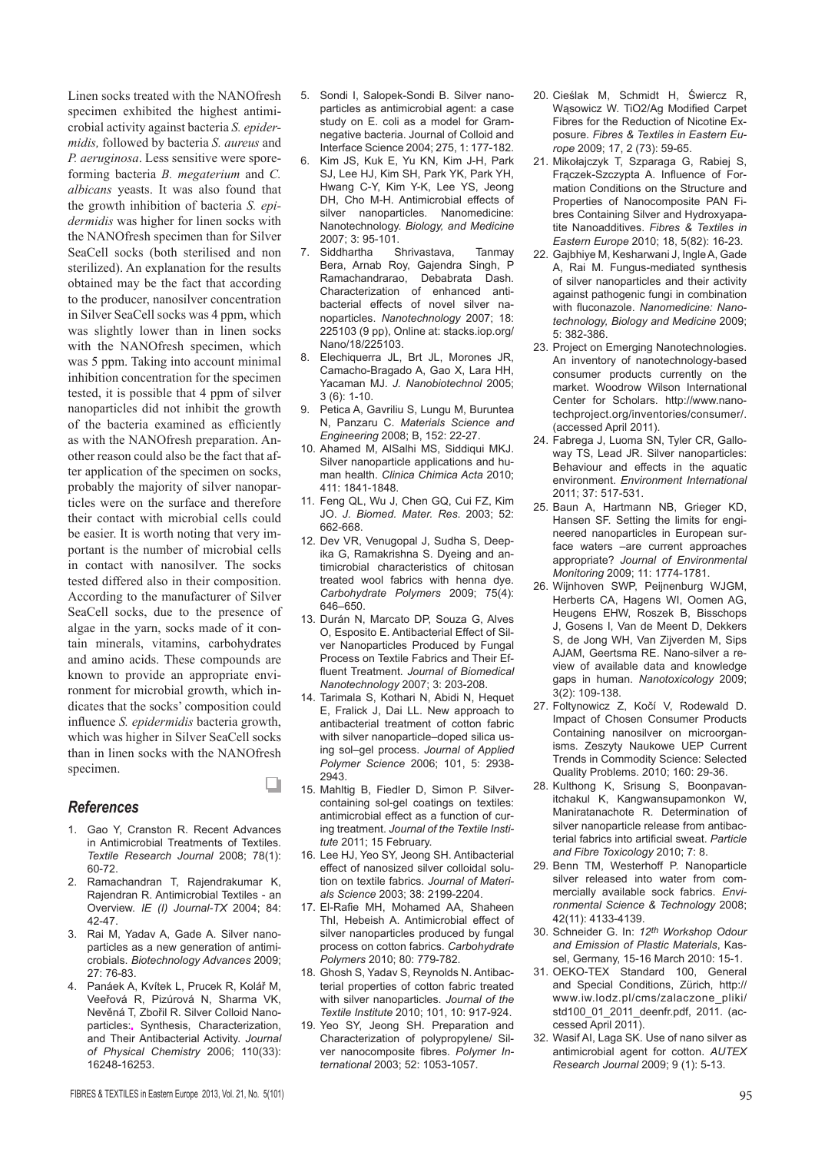Linen socks treated with the NANOfresh specimen exhibited the highest antimicrobial activity against bacteria *S. epidermidis,* followed by bacteria *S. aureus* and *P. aeruginosa*. Less sensitive were sporeforming bacteria *B. megaterium* and *C. albicans* yeasts. It was also found that the growth inhibition of bacteria *S. epidermidis* was higher for linen socks with the NANOfresh specimen than for Silver SeaCell socks (both sterilised and non sterilized). An explanation for the results obtained may be the fact that according to the producer, nanosilver concentration in Silver SeaCell socks was 4 ppm, which was slightly lower than in linen socks with the NANOfresh specimen, which was 5 ppm. Taking into account minimal inhibition concentration for the specimen tested, it is possible that 4 ppm of silver nanoparticles did not inhibit the growth of the bacteria examined as efficiently as with the NANOfresh preparation. Another reason could also be the fact that after application of the specimen on socks, probably the majority of silver nanoparticles were on the surface and therefore their contact with microbial cells could be easier. It is worth noting that very important is the number of microbial cells in contact with nanosilver. The socks tested differed also in their composition. According to the manufacturer of Silver SeaCell socks, due to the presence of algae in the yarn, socks made of it contain minerals, vitamins, carbohydrates and amino acids. These compounds are known to provide an appropriate environment for microbial growth, which indicates that the socks' composition could influence *S. epidermidis* bacteria growth, which was higher in Silver SeaCell socks than in linen socks with the NANOfresh specimen.

#### *References*

1. Gao Y, Cranston R. Recent Advances in Antimicrobial Treatments of Textiles. *Textile Research Journal* 2008; 78(1): 60-72.

u

- 2. Ramachandran T, Rajendrakumar K, Rajendran R. Antimicrobial Textiles - an Overview. *IE (I) Journal-TX* 2004; 84: 42-47.
- 3. Rai M, Yadav A, Gade A. Silver nanoparticles as a new generation of antimicrobials. *Biotechnology Advances* 2009; 27: 76-83.
- 4. Panáek A, Kvítek L, Prucek R, Kolář M, Veeřová R, Pizúrová N, Sharma VK, Nevěná T, Zbořil R. Silver Colloid Nanoparticles: Synthesis, Characterization, and Their Antibacterial Activity. *Journal of Physical Chemistry* 2006; 110(33): 16248-16253.
- 5. Sondi I, Salopek-Sondi B. Silver nanoparticles as antimicrobial agent: a case study on E. coli as a model for Gramnegative bacteria. Journal of Colloid and Interface Science 2004; 275, 1: 177-182.
- 6. Kim JS, Kuk E, Yu KN, Kim J-H, Park SJ, Lee HJ, Kim SH, Park YK, Park YH, Hwang C-Y, Kim Y-K, Lee YS, Jeong DH, Cho M-H. Antimicrobial effects of silver nanoparticles. Nanomedicine: Nanotechnology. *Biology, and Medicine* 2007; 3: 95-101.
- 7. Siddhartha Shrivastava, Tanmay Bera, Arnab Roy, Gajendra Singh, P Ramachandrarao, Debabrata Dash. Characterization of enhanced antibacterial effects of novel silver nanoparticles. *Nanotechnology* 2007; 18: 225103 (9 pp), Online at: stacks.iop.org/ Nano/18/225103.
- Elechiquerra JL, Brt JL, Morones JR, Camacho-Bragado A, Gao X, Lara HH, Yacaman MJ. *J. Nanobiotechnol* 2005; 3 (6): 1-10.
- 9. Petica A, Gavriliu S, Lungu M, Buruntea N, Panzaru C. *Materials Science and Engineering* 2008; B, 152: 22-27.
- 10. Ahamed M, AlSalhi MS, Siddiqui MKJ. Silver nanoparticle applications and human health. *Clinica Chimica Acta* 2010; 411: 1841-1848.
- 11. Feng QL, Wu J, Chen GQ, Cui FZ, Kim JO. *J. Biomed. Mater. Res*. 2003; 52: 662-668.
- 12. Dev VR, Venugopal J, Sudha S, Deepika G, Ramakrishna S. Dyeing and antimicrobial characteristics of chitosan treated wool fabrics with henna dye. *Carbohydrate Polymers* 2009; 75(4): 646–650.
- 13. Durán N, Marcato DP, Souza G, Alves O, Esposito E. Antibacterial Effect of Silver Nanoparticles Produced by Fungal Process on Textile Fabrics and Their Effluent Treatment. *Journal of Biomedical Nanotechnology* 2007; 3: 203-208.
- 14. Tarimala S, Kothari N, Abidi N, Hequet E, Fralick J, Dai LL. New approach to antibacterial treatment of cotton fabric with silver nanoparticle–doped silica using sol–gel process. *Journal of Applied Polymer Science* 2006; 101, 5: 2938- 2943.
- 15. Mahltig B, Fiedler D, Simon P. Silvercontaining sol-gel coatings on textiles: antimicrobial effect as a function of curing treatment. *Journal of the Textile Institute* 2011; 15 February.
- 16. Lee HJ, Yeo SY, Jeong SH. Antibacterial effect of nanosized silver colloidal solution on textile fabrics. *Journal of Materials Science* 2003; 38: 2199-2204.
- 17. El-Rafie MH, Mohamed AA, Shaheen ThI, Hebeish A. Antimicrobial effect of silver nanoparticles produced by fungal process on cotton fabrics. *Carbohydrate Polymers* 2010; 80: 779-782.
- 18. Ghosh S, Yadav S, Reynolds N. Antibacterial properties of cotton fabric treated with silver nanoparticles. *Journal of the Textile Institute* 2010; 101, 10: 917-924.
- 19. Yeo SY, Jeong SH. Preparation and Characterization of polypropylene/ Silver nanocomposite fibres. *Polymer International* 2003; 52: 1053-1057.
- 20. Cieślak M, Schmidt H, Świercz R, Wąsowicz W. TiO2/Ag Modified Carpet Fibres for the Reduction of Nicotine Exposure. *Fibres & Textiles in Eastern Europe* 2009; 17, 2 (73): 59-65.
- 21. Mikołajczyk T, Szparaga G, Rabiej S, Frączek-Szczypta A. Influence of Formation Conditions on the Structure and Properties of Nanocomposite PAN Fibres Containing Silver and Hydroxyapatite Nanoadditives. *Fibres & Textiles in Eastern Europe* 2010; 18, 5(82): 16-23.
- 22. Gajbhiye M, Kesharwani J, Ingle A, Gade A, Rai M. Fungus-mediated synthesis of silver nanoparticles and their activity against pathogenic fungi in combination with fluconazole. *Nanomedicine: Nanotechnology, Biology and Medicine* 2009; 5: 382-386.
- 23. Project on Emerging Nanotechnologies. An inventory of nanotechnology-based consumer products currently on the market. Woodrow Wilson International Center for Scholars. http://www.nanotechproject.org/inventories/consumer/. (accessed April 2011).
- 24. Fabrega J, Luoma SN, Tyler CR, Galloway TS, Lead JR. Silver nanoparticles: Behaviour and effects in the aquatic environment. *Environment International* 2011; 37: 517-531.
- 25. Baun A, Hartmann NB, Grieger KD, Hansen SF. Setting the limits for engineered nanoparticles in European surface waters –are current approaches appropriate? *Journal of Environmental Monitoring* 2009; 11: 1774-1781.
- 26. Wijnhoven SWP, Peijnenburg WJGM, Herberts CA, Hagens WI, Oomen AG, Heugens EHW, Roszek B, Bisschops J, Gosens I, Van de Meent D, Dekkers S, de Jong WH, Van Zijverden M, Sips AJAM, Geertsma RE. Nano-silver a review of available data and knowledge gaps in human. *Nanotoxicology* 2009; 3(2): 109-138.
- 27. Foltynowicz Z, Kočí V, Rodewald D. Impact of Chosen Consumer Products Containing nanosilver on microorganisms. Zeszyty Naukowe UEP Current Trends in Commodity Science: Selected Quality Problems. 2010; 160: 29-36.
- 28. Kulthong K, Srisung S, Boonpavanitchakul K, Kangwansupamonkon W, Maniratanachote R. Determination of silver nanoparticle release from antibacterial fabrics into artificial sweat. *Particle and Fibre Toxicology* 2010; 7: 8.
- 29. Benn TM, Westerhoff P. Nanoparticle silver released into water from commercially available sock fabrics. *Environmental Science & Technology* 2008; 42(11): 4133-4139.
- 30. Schneider G. In: *12th Workshop Odour and Emission of Plastic Materials*, Kassel, Germany, 15-16 March 2010: 15-1.
- 31. OEKO-TEX Standard 100, General and Special Conditions, Zürich, http:// www.iw.lodz.pl/cms/zalaczone\_pliki/ std100\_01\_2011\_deenfr.pdf, 2011. (accessed April 2011).
- 32. Wasif AI, Laga SK. Use of nano silver as antimicrobial agent for cotton. *AUTEX Research Journal* 2009; 9 (1): 5-13.